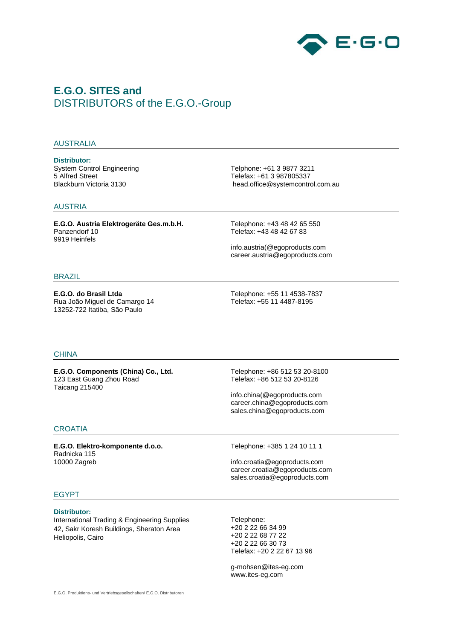

# **E.G.O. SITES and** DISTRIBUTORS of the E.G.O.-Group

#### AUSTRALIA

**Distributor:** System Control Engineering 5 Alfred Street Blackburn Victoria 3130

Telphone: +61 3 9877 3211 Telefax: +61 3 987805337 head.office@systemcontrol.com.au

#### AUSTRIA

**E.G.O. Austria Elektrogeräte Ges.m.b.H.** Panzendorf 10 9919 Heinfels

Telephone: +43 48 42 65 550 Telefax: +43 48 42 67 83

info.austria(@egoproducts.com career.austria@egoproducts.com

#### BRAZIL

**E.G.O. do Brasil Ltda** Rua João Miguel de Camargo 14 13252-722 Itatiba, São Paulo

Telephone: +55 11 4538-7837 Telefax: +55 11 4487-8195

#### **CHINA**

**E.G.O. Components (China) Co., Ltd.** 123 East Guang Zhou Road Taicang 215400

Telephone: +86 512 53 20-8100 Telefax: +86 512 53 20-8126

info.china(@egoproducts.com career.china@egoproducts.com sales.china@egoproducts.com

#### **CROATIA**

**E.G.O. Elektro-komponente d.o.o.** Radnicka 115 10000 Zagreb

Telephone: +385 1 24 10 11 1

info.croatia@egoproducts.com career.croatia@egoproducts.com sales.croatia@egoproducts.com

## EGYPT

#### **Distributor:**

International Trading & Engineering Supplies 42, Sakr Koresh Buildings, Sheraton Area Heliopolis, Cairo

Telephone: +20 2 22 66 34 99 +20 2 22 68 77 22 +20 2 22 66 30 73 Telefax: +20 2 22 67 13 96

g-mohsen@ites-eg.com www.ites-eg.com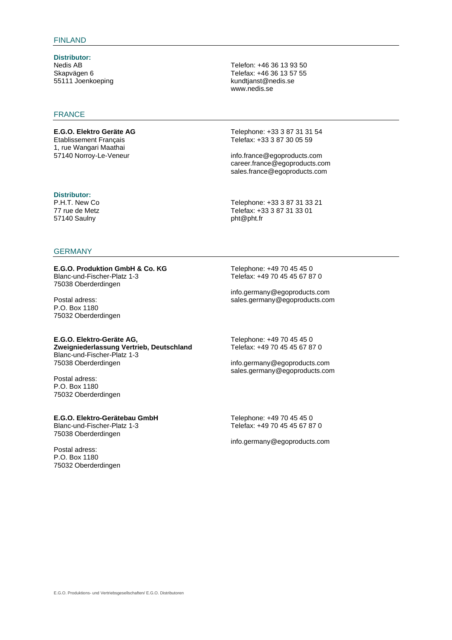**Distributor:** Nedis AB Skapvägen 6 55111 Joenkoeping

## FRANCE

**E.G.O. Elektro Geräte AG** Etablissement Français 1, rue Wangari Maathai 57140 Norroy-Le-Veneur

**Distributor:**

P.H.T. New Co 77 rue de Metz 57140 Saulny

#### **GERMANY**

#### **E.G.O. Produktion GmbH & Co. KG** Blanc-und-Fischer-Platz 1-3 75038 Oberderdingen

Postal adress: P.O. Box 1180 75032 Oberderdingen

### **E.G.O. Elektro-Geräte AG,**

**Zweigniederlassung Vertrieb, Deutschland** Blanc-und-Fischer-Platz 1-3 75038 Oberderdingen

Postal adress: P.O. Box 1180 75032 Oberderdingen

#### **E.G.O. Elektro-Gerätebau GmbH**

Blanc-und-Fischer-Platz 1-3 75038 Oberderdingen

Postal adress: P.O. Box 1180 75032 Oberderdingen Telefon: +46 36 13 93 50 Telefax: +46 36 13 57 55 kundtjanst@nedis.se www.nedis.se

Telephone: +33 3 87 31 31 54 Telefax: +33 3 87 30 05 59

info.france@egoproducts.com career.france@egoproducts.com sales.france@egoproducts.com

Telephone: +33 3 87 31 33 21 Telefax: +33 3 87 31 33 01 pht@pht.fr

Telephone: +49 70 45 45 0 Telefax: +49 70 45 45 67 87 0

info.germany@egoproducts.com sales.germany@egoproducts.com

Telephone: +49 70 45 45 0 Telefax: +49 70 45 45 67 87 0

info.germany@egoproducts.com sales.germany@egoproducts.com

Telephone: +49 70 45 45 0 Telefax: +49 70 45 45 67 87 0

info.germany@egoproducts.com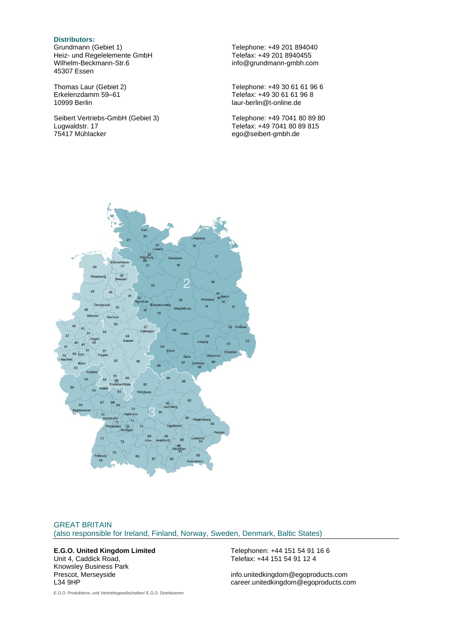#### **Distributors:**

Grundmann (Gebiet 1) Heiz- und Regelelemente GmbH Wilhelm-Beckmann-Str.6 45307 Essen

Thomas Laur (Gebiet 2) Erkelenzdamm 59–61 10999 Berlin

Seibert Vertriebs-GmbH (Gebiet 3) Lugwaldstr. 17 75417 Mühlacker

Telephone: +49 201 894040 Telefax: +49 201 8940455 info@grundmann-gmbh.com

Telephone: +49 30 61 61 96 6 Telefax: +49 30 61 61 96 8 laur-berlin@t-online.de

Telephone: +49 7041 80 89 80 Telefax: +49 7041 80 89 815 ego@seibert-gmbh.de



## GREAT BRITAIN (also responsible for Ireland, Finland, Norway, Sweden, Denmark, Baltic States)

#### **E.G.O. United Kingdom Limited** Unit 4, Caddick Road,

Knowsley Business Park Prescot, Merseyside L34 9HP

Telephonen: +44 151 54 91 16 6 Telefax: +44 151 54 91 12 4

info.unitedkingdom@egoproducts.com career.unitedkingdom@egoproducts.com

E.G.O. Produktions- und Vertriebsgesellschaften/ E.G.O. Distributoren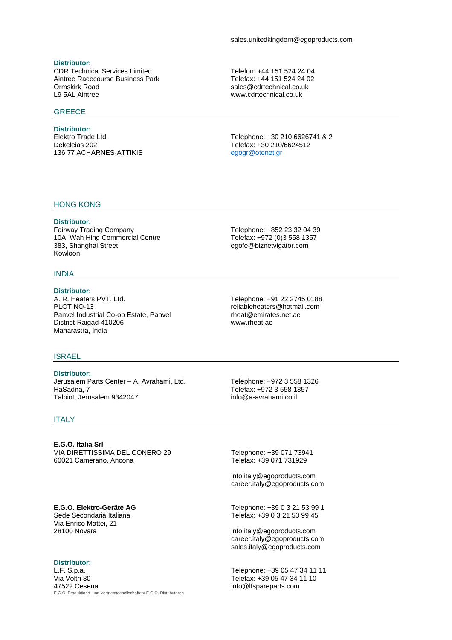## **Distributor:**

CDR Technical Services Limited Aintree Racecourse Business Park Ormskirk Road L9 5AL Aintree

## **GREECE**

**Distributor:** Elektro Trade Ltd. Dekeleias 202 136 77 ACHARNES-ATTIKIS Telefon: +44 151 524 24 04 Telefax: +44 151 524 24 02 sales@cdrtechnical.co.uk www.cdrtechnical.co.uk

Telephone: +30 210 6626741 & 2 Telefax: +30 210/6624512 [egogr@otenet.gr](mailto:egogr@otenet.gr)

#### HONG KONG

**Distributor:**

Fairway Trading Company 10A, Wah Hing Commercial Centre 383, Shanghai Street Kowloon

#### INDIA

#### **Distributor:** A. R. Heaters PVT. Ltd. PLOT NO-13 Panvel Industrial Co-op Estate, Panvel District-Raigad-410206 Maharastra, India

#### ISRAEL

**Distributor:** Jerusalem Parts Center – A. Avrahami, Ltd. HaSadna, 7 Talpiot, Jerusalem 9342047

ITALY

**E.G.O. Italia Srl** VIA DIRETTISSIMA DEL CONERO 29 60021 Camerano, Ancona

## **E.G.O. Elektro-Geräte AG**

Sede Secondaria Italiana Via Enrico Mattei, 21 28100 Novara

## **Distributor:**

E.G.O. Produktions- und Vertriebsgesellschaften/ E.G.O. Distributoren L.F. S.p.a. Via Voltri 80 47522 Cesena

Telephone: +91 22 2745 0188 reliableheaters@hotmail.com rheat@emirates.net.ae www.rheat.ae

Telephone: +852 23 32 04 39 Telefax: +972 (0)3 558 1357 egofe@biznetvigator.com

Telephone: +972 3 558 1326 Telefax: +972 3 558 1357 info@a-avrahami.co.il

Telephone: +39 071 73941 Telefax: +39 071 731929

info.italy@egoproducts.com career.italy@egoproducts.com

Telephone: +39 0 3 21 53 99 1 Telefax: +39 0 3 21 53 99 45

info.italy@egoproducts.com career.italy@egoproducts.com sales.italy@egoproducts.com

Telephone: +39 05 47 34 11 11 Telefax: +39 05 47 34 11 10 info@lfspareparts.com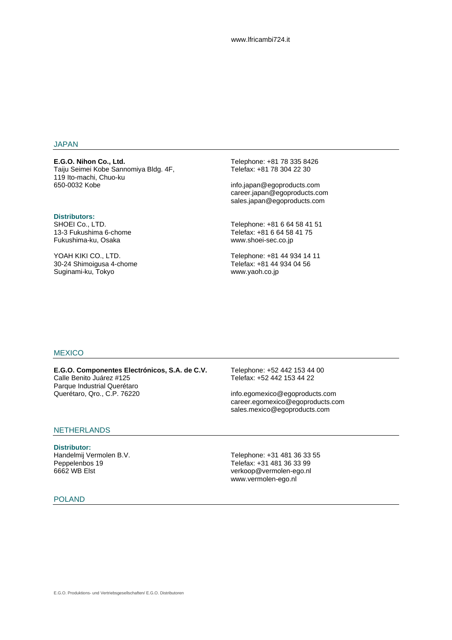#### JAPAN

**E.G.O. Nihon Co., Ltd.** Taiju Seimei Kobe Sannomiya Bldg. 4F, 119 Ito-machi, Chuo-ku 650-0032 Kobe

#### **Distributors:**

SHOEI Co., LTD. 13-3 Fukushima 6-chome Fukushima-ku, Osaka

YOAH KIKI CO., LTD. 30-24 Shimoigusa 4-chome Suginami-ku, Tokyo

Telephone: +81 78 335 8426 Telefax: +81 78 304 22 30

info.japan@egoproducts.com career.japan@egoproducts.com sales.japan@egoproducts.com

Telephone: +81 6 64 58 41 51 Telefax: +81 6 64 58 41 75 www.shoei-sec.co.jp

Telephone: +81 44 934 14 11 Telefax: +81 44 934 04 56 www.yaoh.co.jp

#### **MEXICO**

**E.G.O. Componentes Electrónicos, S.A. de C.V.** Calle Benito Juárez #125 Parque Industrial Querétaro Querétaro, Qro., C.P. 76220

Telephone: +52 442 153 44 00 Telefax: +52 442 153 44 22

info.egomexico@egoproducts.com career.egomexico@egoproducts.com sales.mexico@egoproducts.com

### NETHERLANDS

**Distributor:** Handelmij Vermolen B.V. Peppelenbos 19 6662 WB Elst

Telephone: +31 481 36 33 55 Telefax: +31 481 36 33 99 verkoop@vermolen-ego.nl www.vermolen-ego.nl

#### POLAND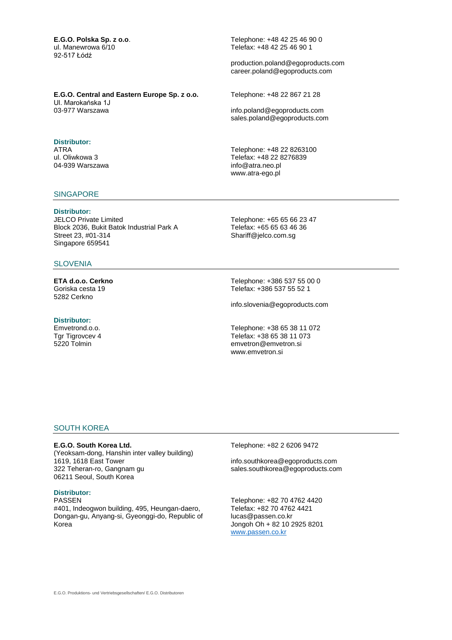**E.G.O. Polska Sp. z o.o**. ul. Manewrowa 6/10 92-517 Łódź

Telephone: +48 42 25 46 90 0 Telefax: +48 42 25 46 90 1

production.poland@egoproducts.com career.poland@egoproducts.com

**E.G.O. Central and Eastern Europe Sp. z o.o.** Ul. Marokańska 1J 03-977 Warszawa

## **Distributor:**

ATRA ul. Oliwkowa 3 04-939 Warszawa

#### **SINGAPORE**

## **Distributor:**

JELCO Private Limited Block 2036, Bukit Batok Industrial Park A Street 23, #01-314 Singapore 659541

## **SLOVENIA**

**ETA d.o.o. Cerkno** Goriska cesta 19 5282 Cerkno

#### **Distributor:**

Emvetrond.o.o. Tgr Tigrovcev 4 5220 Tolmin

Telephone: +48 22 867 21 28 info.poland@egoproducts.com

sales.poland@egoproducts.com

Telephone: +48 22 8263100 Telefax: +48 22 8276839 info@atra.neo.pl www.atra-ego.pl

Telephone: +65 65 66 23 47 Telefax: +65 65 63 46 36 Shariff@jelco.com.sg

Telephone: +386 537 55 00 0 Telefax: +386 537 55 52 1

info.slovenia@egoproducts.com

Telephone: +38 65 38 11 072 Telefax: +38 65 38 11 073 emvetron@emvetron.si www.emvetron.si

#### SOUTH KOREA

#### **E.G.O. South Korea Ltd.**

(Yeoksam-dong, Hanshin inter valley building) 1619, 1618 East Tower 322 Teheran-ro, Gangnam gu 06211 Seoul, South Korea

#### **Distributor:**

PASSEN #401, Indeogwon building, 495, Heungan-daero, Dongan-gu, Anyang-si, Gyeonggi-do, Republic of Korea

Telephone: +82 2 6206 9472

info.southkorea@egoproducts.com sales.southkorea@egoproducts.com

Telephone: +82 70 4762 4420 Telefax: +82 70 4762 4421 lucas@passen.co.kr Jongoh Oh + 82 10 2925 8201 [www.passen.co.kr](http://www.passen.co.kr/)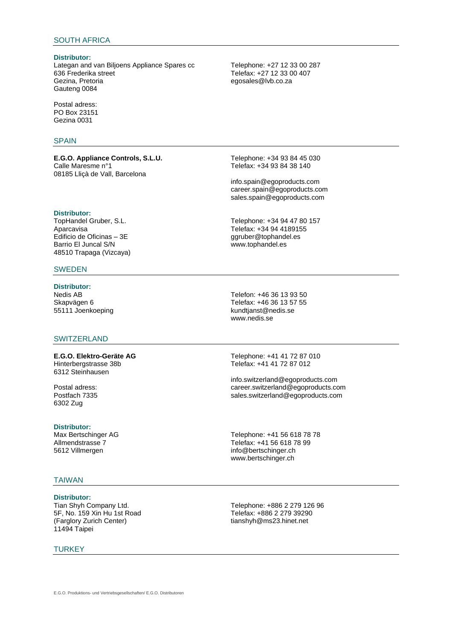## SOUTH AFRICA

#### **Distributor:**

Lategan and van Biljoens Appliance Spares cc 636 Frederika street Gezina, Pretoria Gauteng 0084

Postal adress: PO Box 23151 Gezina 0031

#### **SPAIN**

**E.G.O. Appliance Controls, S.L.U.** Calle Maresme n°1 08185 Lliçà de Vall, Barcelona

**Distributor:**

TopHandel Gruber, S.L. Aparcavisa Edificio de Oficinas – 3E Barrio El Juncal S/N 48510 Trapaga (Vizcaya)

### SWEDEN

**Distributor:** Nedis AB Skapvägen 6 55111 Joenkoeping

### **SWITZERLAND**

**E.G.O. Elektro-Geräte AG** Hinterbergstrasse 38b 6312 Steinhausen

Postal adress: Postfach 7335 6302 Zug

#### **Distributor:**

Max Bertschinger AG Allmendstrasse 7 5612 Villmergen

#### TAIWAN

**Distributor:** Tian Shyh Company Ltd. 5F, No. 159 Xin Hu 1st Road (Farglory Zurich Center) 11494 Taipei

**TURKEY** 

Telephone: +27 12 33 00 287 Telefax: +27 12 33 00 407 egosales@lvb.co.za

Telephone: +34 93 84 45 030 Telefax: +34 93 84 38 140

info.spain@egoproducts.com career.spain@egoproducts.com sales.spain@egoproducts.com

Telephone: +34 94 47 80 157 Telefax: +34 94 4189155 ggruber@tophandel.es www.tophandel.es

Telefon: +46 36 13 93 50 Telefax: +46 36 13 57 55 kundtjanst@nedis.se www.nedis.se

Telephone: +41 41 72 87 010 Telefax: +41 41 72 87 012

info.switzerland@egoproducts.com career.switzerland@egoproducts.com sales.switzerland@egoproducts.com

Telephone: +41 56 618 78 78 Telefax: +41 56 618 78 99 info@bertschinger.ch www.bertschinger.ch

Telephone: +886 2 279 126 96 Telefax: +886 2 279 39290 tianshyh@ms23.hinet.net